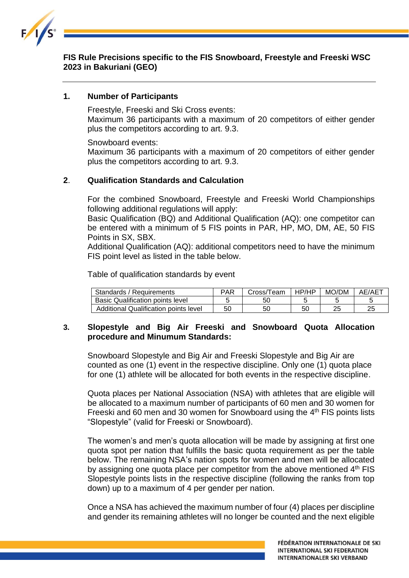

## **FIS Rule Precisions specific to the FIS Snowboard, Freestyle and Freeski WSC 2023 in Bakuriani (GEO)**

#### **1. Number of Participants**

Freestyle, Freeski and Ski Cross events: Maximum 36 participants with a maximum of 20 competitors of either gender plus the competitors according to art. 9.3.

Snowboard events:

Maximum 36 participants with a maximum of 20 competitors of either gender plus the competitors according to art. 9.3.

#### **2**. **Qualification Standards and Calculation**

For the combined Snowboard, Freestyle and Freeski World Championships following additional regulations will apply:

Basic Qualification (BQ) and Additional Qualification (AQ): one competitor can be entered with a minimum of 5 FIS points in PAR, HP, MO, DM, AE, 50 FIS Points in SX, SBX.

Additional Qualification (AQ): additional competitors need to have the minimum FIS point level as listed in the table below.

Table of qualification standards by event

| Standards / Requirements                | PAR | Cross/Team | HP/HP | MO/DM | AE/AET |
|-----------------------------------------|-----|------------|-------|-------|--------|
| <b>Basic Qualification points level</b> |     | 50         |       |       |        |
| Additional Qualification points level   | 50  | 50         | 50    | 25    |        |

### **3. Slopestyle and Big Air Freeski and Snowboard Quota Allocation procedure and Minumum Standards:**

Snowboard Slopestyle and Big Air and Freeski Slopestyle and Big Air are counted as one (1) event in the respective discipline. Only one (1) quota place for one (1) athlete will be allocated for both events in the respective discipline.

Quota places per National Association (NSA) with athletes that are eligible will be allocated to a maximum number of participants of 60 men and 30 women for Freeski and 60 men and 30 women for Snowboard using the 4<sup>th</sup> FIS points lists "Slopestyle" (valid for Freeski or Snowboard).

The women's and men's quota allocation will be made by assigning at first one quota spot per nation that fulfills the basic quota requirement as per the table below. The remaining NSA's nation spots for women and men will be allocated by assigning one quota place per competitor from the above mentioned 4<sup>th</sup> FIS Slopestyle points lists in the respective discipline (following the ranks from top down) up to a maximum of 4 per gender per nation.

Once a NSA has achieved the maximum number of four (4) places per discipline and gender its remaining athletes will no longer be counted and the next eligible

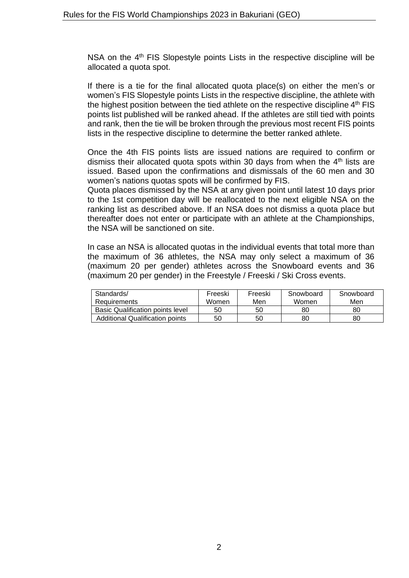NSA on the 4<sup>th</sup> FIS Slopestyle points Lists in the respective discipline will be allocated a quota spot.

If there is a tie for the final allocated quota place(s) on either the men's or women's FIS Slopestyle points Lists in the respective discipline, the athlete with the highest position between the tied athlete on the respective discipline 4<sup>th</sup> FIS points list published will be ranked ahead. If the athletes are still tied with points and rank, then the tie will be broken through the previous most recent FIS points lists in the respective discipline to determine the better ranked athlete.

Once the 4th FIS points lists are issued nations are required to confirm or dismiss their allocated quota spots within 30 days from when the  $4<sup>th</sup>$  lists are issued. Based upon the confirmations and dismissals of the 60 men and 30 women's nations quotas spots will be confirmed by FIS.

Quota places dismissed by the NSA at any given point until latest 10 days prior to the 1st competition day will be reallocated to the next eligible NSA on the ranking list as described above. If an NSA does not dismiss a quota place but thereafter does not enter or participate with an athlete at the Championships, the NSA will be sanctioned on site.

In case an NSA is allocated quotas in the individual events that total more than the maximum of 36 athletes, the NSA may only select a maximum of 36 (maximum 20 per gender) athletes across the Snowboard events and 36 (maximum 20 per gender) in the Freestyle / Freeski / Ski Cross events.

| Standards/<br>Requirements              | Freeski<br>Women | Freeski<br>Men | Snowboard<br>Women | Snowboard<br>Men |
|-----------------------------------------|------------------|----------------|--------------------|------------------|
|                                         |                  |                |                    |                  |
| <b>Basic Qualification points level</b> | 50               | 50             | 80                 | 80               |
| Additional Qualification points         | 50               | 50             | 80                 | 80               |